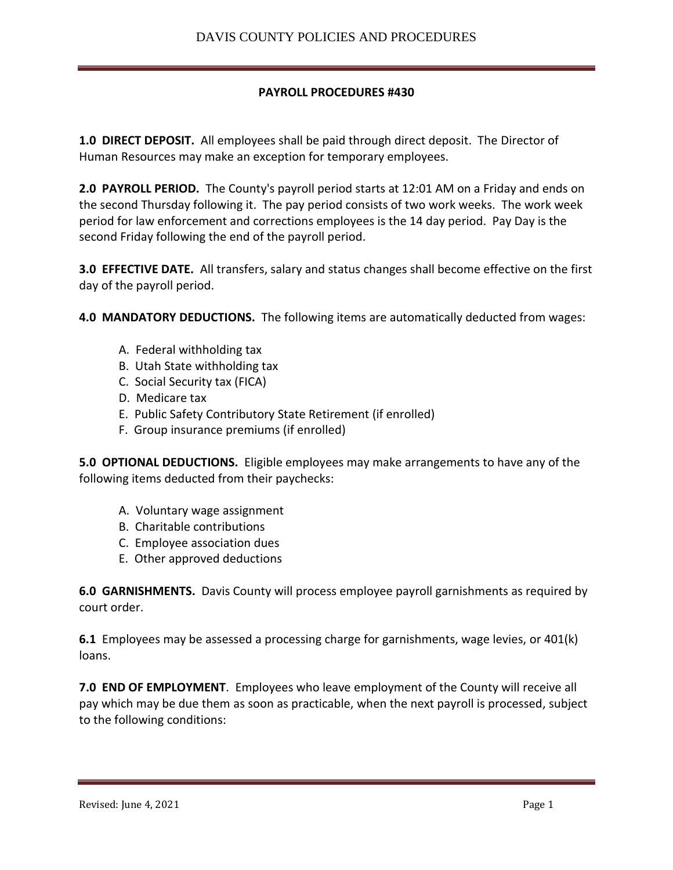## **PAYROLL PROCEDURES #430**

**1.0 DIRECT DEPOSIT.** All employees shall be paid through direct deposit. The Director of Human Resources may make an exception for temporary employees.

**2.0 PAYROLL PERIOD.** The County's payroll period starts at 12:01 AM on a Friday and ends on the second Thursday following it. The pay period consists of two work weeks. The work week period for law enforcement and corrections employees is the 14 day period. Pay Day is the second Friday following the end of the payroll period.

**3.0 EFFECTIVE DATE.** All transfers, salary and status changes shall become effective on the first day of the payroll period.

**4.0 MANDATORY DEDUCTIONS.** The following items are automatically deducted from wages:

- A. Federal withholding tax
- B. Utah State withholding tax
- C. Social Security tax (FICA)
- D. Medicare tax
- E. Public Safety Contributory State Retirement (if enrolled)
- F. Group insurance premiums (if enrolled)

**5.0 OPTIONAL DEDUCTIONS.** Eligible employees may make arrangements to have any of the following items deducted from their paychecks:

- A. Voluntary wage assignment
- B. Charitable contributions
- C. Employee association dues
- E. Other approved deductions

**6.0 GARNISHMENTS.** Davis County will process employee payroll garnishments as required by court order.

**6.1** Employees may be assessed a processing charge for garnishments, wage levies, or 401(k) loans.

**7.0 END OF EMPLOYMENT**. Employees who leave employment of the County will receive all pay which may be due them as soon as practicable, when the next payroll is processed, subject to the following conditions: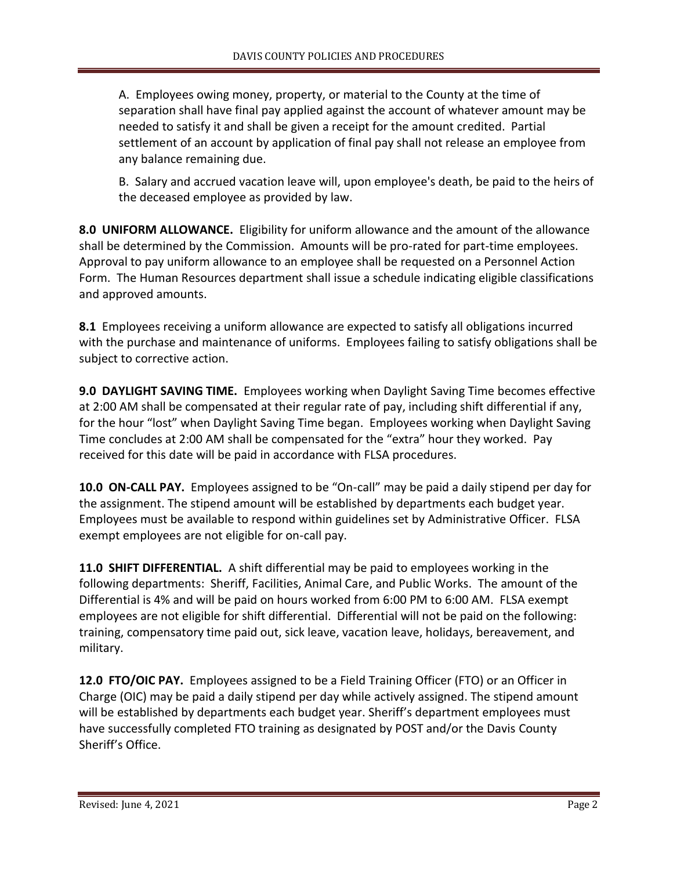A. Employees owing money, property, or material to the County at the time of separation shall have final pay applied against the account of whatever amount may be needed to satisfy it and shall be given a receipt for the amount credited. Partial settlement of an account by application of final pay shall not release an employee from any balance remaining due.

B. Salary and accrued vacation leave will, upon employee's death, be paid to the heirs of the deceased employee as provided by law.

**8.0 UNIFORM ALLOWANCE.** Eligibility for uniform allowance and the amount of the allowance shall be determined by the Commission. Amounts will be pro-rated for part-time employees. Approval to pay uniform allowance to an employee shall be requested on a Personnel Action Form. The Human Resources department shall issue a schedule indicating eligible classifications and approved amounts.

**8.1** Employees receiving a uniform allowance are expected to satisfy all obligations incurred with the purchase and maintenance of uniforms. Employees failing to satisfy obligations shall be subject to corrective action.

**9.0 DAYLIGHT SAVING TIME.** Employees working when Daylight Saving Time becomes effective at 2:00 AM shall be compensated at their regular rate of pay, including shift differential if any, for the hour "lost" when Daylight Saving Time began. Employees working when Daylight Saving Time concludes at 2:00 AM shall be compensated for the "extra" hour they worked. Pay received for this date will be paid in accordance with FLSA procedures.

**10.0 ON-CALL PAY.** Employees assigned to be "On-call" may be paid a daily stipend per day for the assignment. The stipend amount will be established by departments each budget year. Employees must be available to respond within guidelines set by Administrative Officer. FLSA exempt employees are not eligible for on-call pay.

**11.0 SHIFT DIFFERENTIAL.** A shift differential may be paid to employees working in the following departments: Sheriff, Facilities, Animal Care, and Public Works. The amount of the Differential is 4% and will be paid on hours worked from 6:00 PM to 6:00 AM. FLSA exempt employees are not eligible for shift differential. Differential will not be paid on the following: training, compensatory time paid out, sick leave, vacation leave, holidays, bereavement, and military.

**12.0 FTO/OIC PAY.** Employees assigned to be a Field Training Officer (FTO) or an Officer in Charge (OIC) may be paid a daily stipend per day while actively assigned. The stipend amount will be established by departments each budget year. Sheriff's department employees must have successfully completed FTO training as designated by POST and/or the Davis County Sheriff's Office.